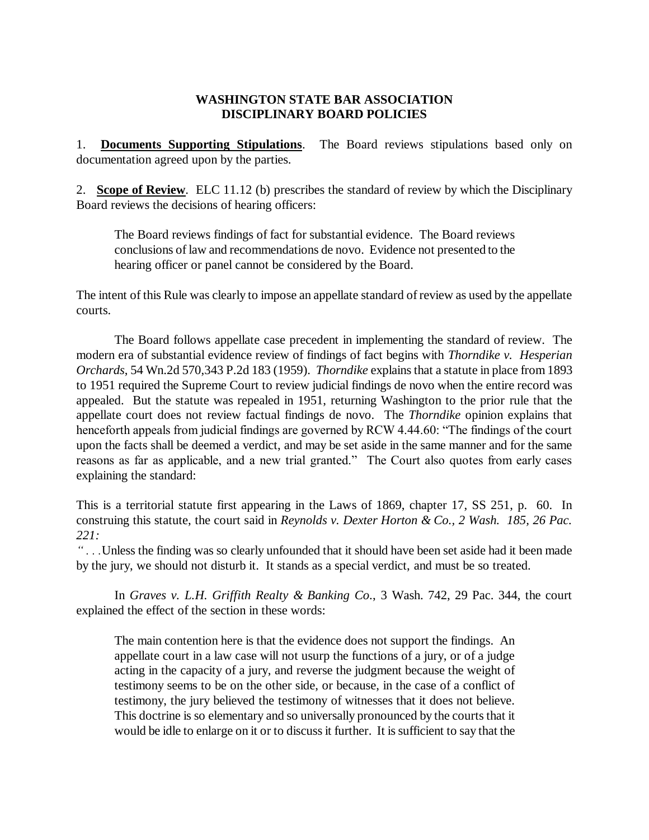## **WASHINGTON STATE BAR ASSOCIATION DISCIPLINARY BOARD POLICIES**

1. **Documents Supporting Stipulations**. The Board reviews stipulations based only on documentation agreed upon by the parties.

2. **Scope of Review**. ELC 11.12 (b) prescribes the standard of review by which the Disciplinary Board reviews the decisions of hearing officers:

The Board reviews findings of fact for substantial evidence. The Board reviews conclusions of law and recommendations de novo. Evidence not presented to the hearing officer or panel cannot be considered by the Board.

The intent of this Rule was clearly to impose an appellate standard of review as used by the appellate courts.

The Board follows appellate case precedent in implementing the standard of review. The modern era of substantial evidence review of findings of fact begins with *Thorndike v. Hesperian Orchards*, 54 Wn.2d 570,343 P.2d 183 (1959). *Thorndike* explains that a statute in place from 1893 to 1951 required the Supreme Court to review judicial findings de novo when the entire record was appealed. But the statute was repealed in 1951, returning Washington to the prior rule that the appellate court does not review factual findings de novo. The *Thorndike* opinion explains that henceforth appeals from judicial findings are governed by RCW 4.44.60: "The findings of the court upon the facts shall be deemed a verdict, and may be set aside in the same manner and for the same reasons as far as applicable, and a new trial granted." The Court also quotes from early cases explaining the standard:

This is a territorial statute first appearing in the Laws of 1869, chapter 17, SS 251, p. 60. In construing this statute, the court said in *Reynolds v. Dexter Horton & Co., 2 Wash. 185, 26 Pac. 221:*

*" . . .*Unless the finding was so clearly unfounded that it should have been set aside had it been made by the jury, we should not disturb it. It stands as a special verdict, and must be so treated.

In *Graves v. L.H. Griffith Realty & Banking Co*., 3 Wash. 742, 29 Pac. 344, the court explained the effect of the section in these words:

The main contention here is that the evidence does not support the findings. An appellate court in a law case will not usurp the functions of a jury, or of a judge acting in the capacity of a jury, and reverse the judgment because the weight of testimony seems to be on the other side, or because, in the case of a conflict of testimony, the jury believed the testimony of witnesses that it does not believe. This doctrine is so elementary and so universally pronounced by the courts that it would be idle to enlarge on it or to discuss it further. It is sufficient to say that the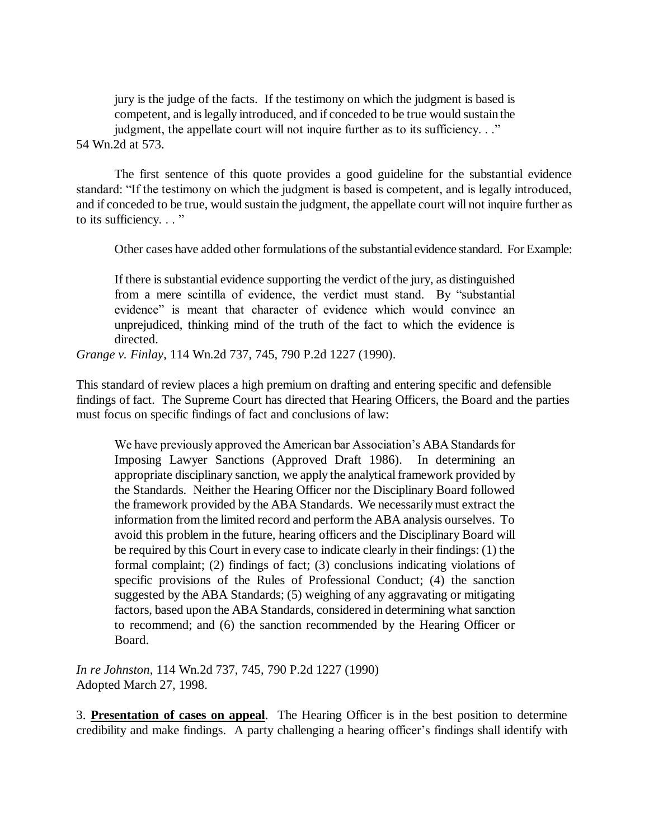jury is the judge of the facts. If the testimony on which the judgment is based is competent, and is legally introduced, and if conceded to be true would sustain the judgment, the appellate court will not inquire further as to its sufficiency. . ." 54 Wn.2d at 573.

The first sentence of this quote provides a good guideline for the substantial evidence standard: "If the testimony on which the judgment is based is competent, and is legally introduced, and if conceded to be true, would sustain the judgment, the appellate court will not inquire further as to its sufficiency. . . "

Other cases have added other formulations of the substantial evidence standard. For Example:

If there is substantial evidence supporting the verdict of the jury, as distinguished from a mere scintilla of evidence, the verdict must stand. By "substantial evidence" is meant that character of evidence which would convince an unprejudiced, thinking mind of the truth of the fact to which the evidence is directed.

*Grange v. Finlay*, 114 Wn.2d 737, 745, 790 P.2d 1227 (1990).

This standard of review places a high premium on drafting and entering specific and defensible findings of fact. The Supreme Court has directed that Hearing Officers, the Board and the parties must focus on specific findings of fact and conclusions of law:

We have previously approved the American bar Association's ABA Standards for Imposing Lawyer Sanctions (Approved Draft 1986). In determining an appropriate disciplinary sanction, we apply the analytical framework provided by the Standards. Neither the Hearing Officer nor the Disciplinary Board followed the framework provided by the ABA Standards. We necessarily must extract the information from the limited record and perform the ABA analysis ourselves. To avoid this problem in the future, hearing officers and the Disciplinary Board will be required by this Court in every case to indicate clearly in their findings: (1) the formal complaint; (2) findings of fact; (3) conclusions indicating violations of specific provisions of the Rules of Professional Conduct; (4) the sanction suggested by the ABA Standards; (5) weighing of any aggravating or mitigating factors, based upon the ABA Standards, considered in determining what sanction to recommend; and (6) the sanction recommended by the Hearing Officer or Board.

*In re Johnston*, 114 Wn.2d 737, 745, 790 P.2d 1227 (1990) Adopted March 27, 1998.

3. **Presentation of cases on appeal**. The Hearing Officer is in the best position to determine credibility and make findings. A party challenging a hearing officer's findings shall identify with